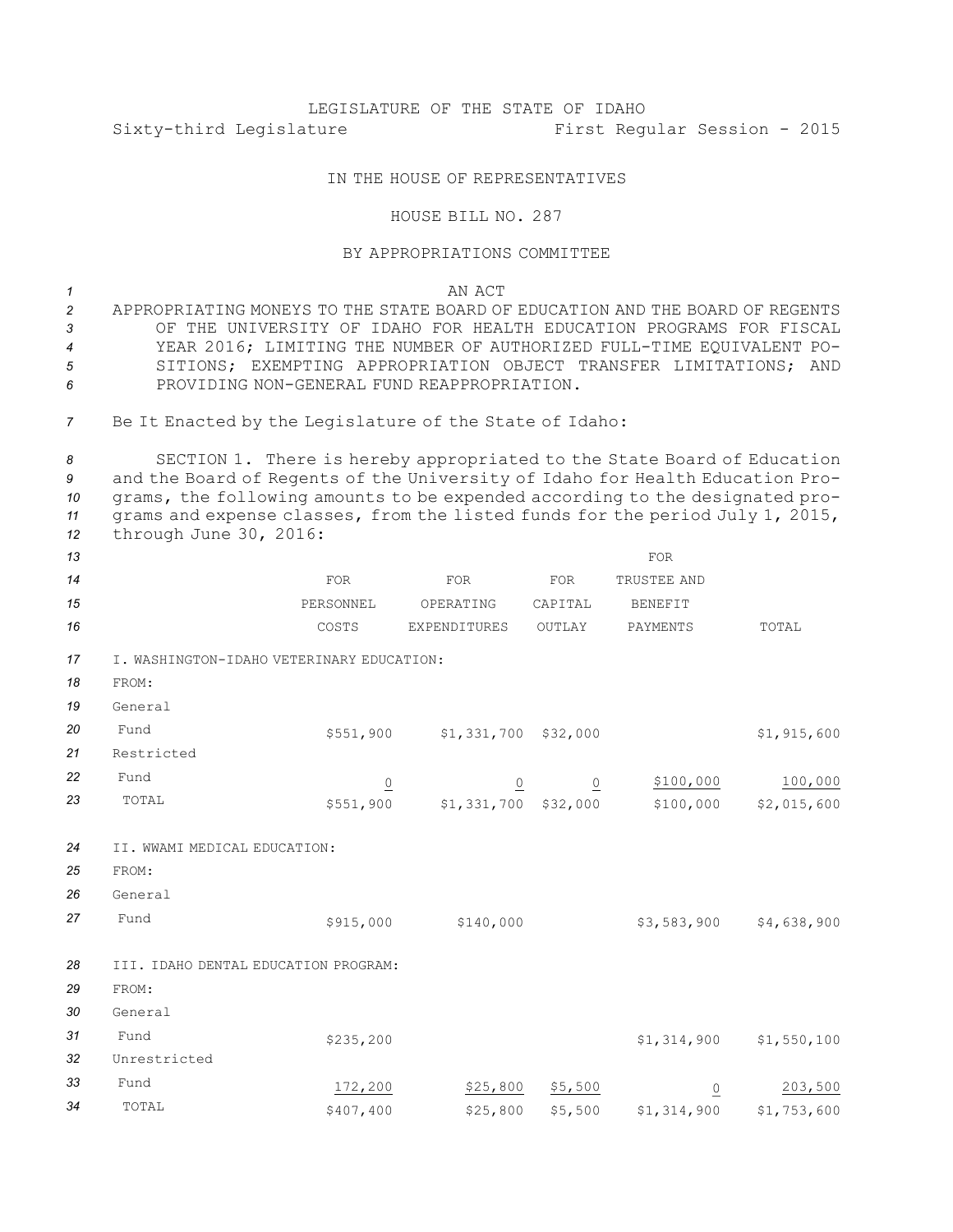## LEGISLATURE OF THE STATE OF IDAHO Sixty-third Legislature First Regular Session - 2015

## IN THE HOUSE OF REPRESENTATIVES

## HOUSE BILL NO. 287

## BY APPROPRIATIONS COMMITTEE

*1* AN ACT

 APPROPRIATING MONEYS TO THE STATE BOARD OF EDUCATION AND THE BOARD OF REGENTS OF THE UNIVERSITY OF IDAHO FOR HEALTH EDUCATION PROGRAMS FOR FISCAL YEAR 2016; LIMITING THE NUMBER OF AUTHORIZED FULL-TIME EQUIVALENT PO- SITIONS; EXEMPTING APPROPRIATION OBJECT TRANSFER LIMITATIONS; AND PROVIDING NON-GENERAL FUND REAPPROPRIATION.

*<sup>7</sup>* Be It Enacted by the Legislature of the State of Idaho:

 SECTION 1. There is hereby appropriated to the State Board of Education and the Board of Regents of the University of Idaho for Health Education Pro- grams, the following amounts to be expended according to the designated pro- grams and expense classes, from the listed funds for the period July 1, 2015, through June 30, 2016:

| 13 |                                           |                |                        |                | <b>FOR</b>      |             |
|----|-------------------------------------------|----------------|------------------------|----------------|-----------------|-------------|
| 14 |                                           | FOR            | FOR                    | FOR            | TRUSTEE AND     |             |
| 15 |                                           | PERSONNEL      | OPERATING              | CAPITAL        | <b>BENEFIT</b>  |             |
| 16 |                                           | COSTS          | EXPENDITURES           | OUTLAY         | PAYMENTS        | TOTAL       |
| 17 | I. WASHINGTON-IDAHO VETERINARY EDUCATION: |                |                        |                |                 |             |
| 18 | FROM:                                     |                |                        |                |                 |             |
| 19 | General                                   |                |                        |                |                 |             |
| 20 | Fund                                      | \$551,900      | \$1,331,700 \$32,000   |                |                 | \$1,915,600 |
| 21 | Restricted                                |                |                        |                |                 |             |
| 22 | Fund                                      | $\overline{0}$ | $\overline{0}$         | $\overline{0}$ | \$100,000       | 100,000     |
| 23 | TOTAL                                     | \$551,900      | $$1,331,700$ $$32,000$ |                | \$100,000       | \$2,015,600 |
| 24 | II. WWAMI MEDICAL EDUCATION:              |                |                        |                |                 |             |
| 25 | FROM:                                     |                |                        |                |                 |             |
| 26 | General                                   |                |                        |                |                 |             |
| 27 | Fund                                      | \$915,000      | \$140,000              |                | \$3,583,900     | \$4,638,900 |
| 28 | III. IDAHO DENTAL EDUCATION PROGRAM:      |                |                        |                |                 |             |
| 29 | FROM:                                     |                |                        |                |                 |             |
| 30 | General                                   |                |                        |                |                 |             |
| 31 | Fund                                      | \$235,200      |                        |                | \$1,314,900     | \$1,550,100 |
| 32 | Unrestricted                              |                |                        |                |                 |             |
| 33 | Fund                                      | 172,200        | \$25,800               | \$5,500        | $\underline{0}$ | 203,500     |
| 34 | TOTAL                                     | \$407,400      | \$25,800               | \$5,500        | \$1,314,900     | \$1,753,600 |
|    |                                           |                |                        |                |                 |             |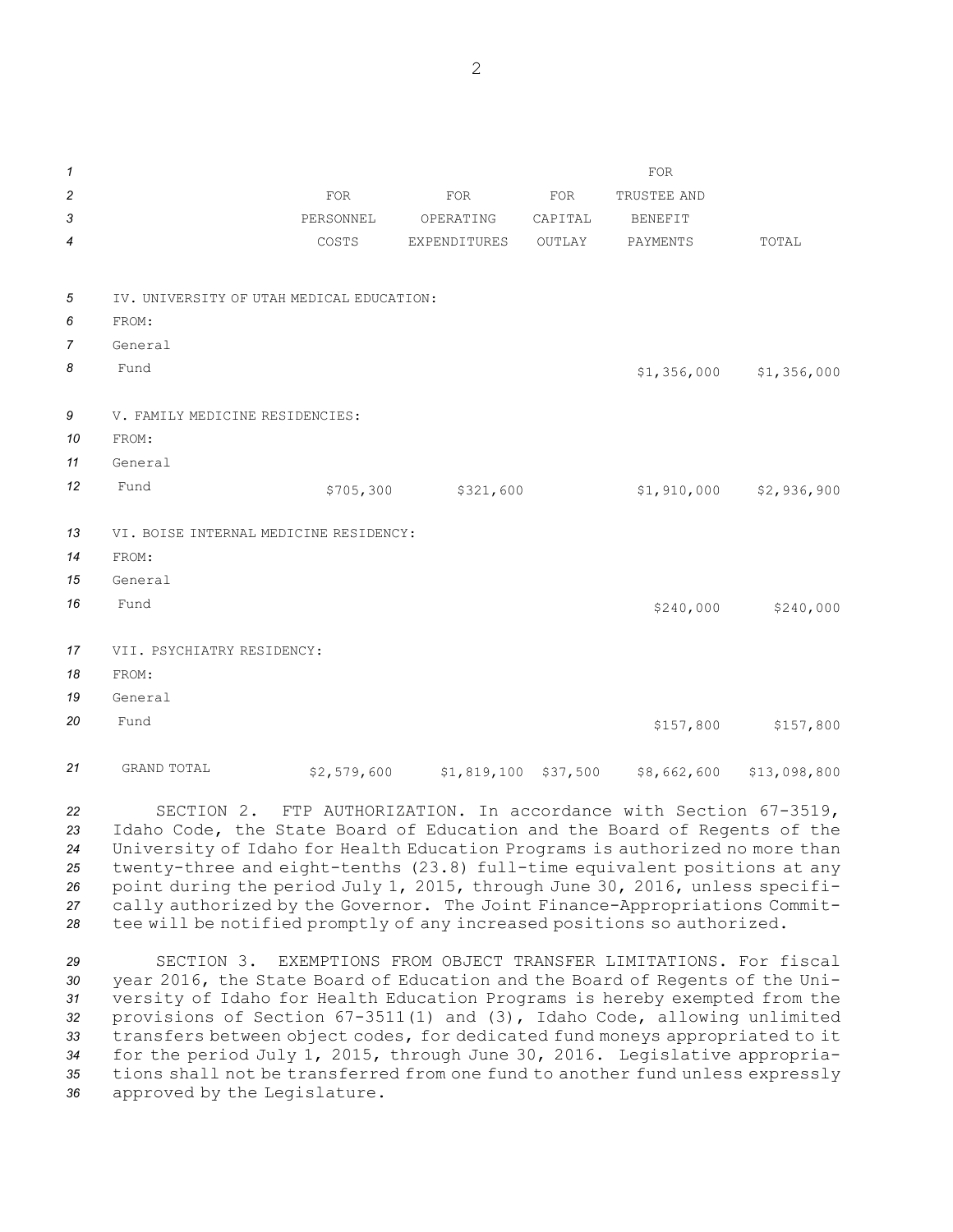*1* FOR **2** *POR* FOR FOR FOR FOR TRUSTEE AND 3 **3** PERSONNEL OPERATING CAPITAL BENEFIT **4** COSTS EXPENDITURES OUTLAY PAYMENTS TOTAL *5* IV. UNIVERSITY OF UTAH MEDICAL EDUCATION: *6* FROM: *7* General **8** Fund \$1,356,000 \$1,356,000 \$1,356,000 \$1,356,000 \$1,356,000 \$1,356,000 \$1,356,000 \$1,356,000 \$1,356,000 \$1,356,000 \$1,356,000 \$1,356,000 \$1,356,000 \$1,356,000 \$1,356,000 \$1,356,000 \$1,356,000 \$1,356,000 \$1,356,000 \$1,3 *9* V. FAMILY MEDICINE RESIDENCIES: *10* FROM: *11* General *<sup>12</sup>* Fund \$705,300 \$321,600 \$1,910,000 \$2,936,900 *13* VI. BOISE INTERNAL MEDICINE RESIDENCY: *14* FROM: *15* General **16** Fund \$240,000 \$240,000 \$240,000 \$240,000 \$240,000 \$240,000 \$240,000 \$240,000 \$240,000 \$240,000 \$240,000 \$2 *17* VII. PSYCHIATRY RESIDENCY: *18* FROM: *19* General **20** Fund \$157,800 \$157,800 \$157,800 \$157,800 \$157,800 \$157,800 \$157,800 \$157,800 \$157,800 \$157,800 \$157,800 \$157,800 \$157,800 \$157,800 \$157,800 \$157,800 \$157,800 \$157,800 \$157,800 \$157,800 \$157,800 \$157,800 \$157,800 \$157, *<sup>21</sup>* GRAND TOTAL \$2,579,600 \$1,819,100 \$37,500 \$8,662,600 \$13,098,800

 SECTION 2. FTP AUTHORIZATION. In accordance with Section 67-3519, Idaho Code, the State Board of Education and the Board of Regents of the University of Idaho for Health Education Programs is authorized no more than twenty-three and eight-tenths (23.8) full-time equivalent positions at any point during the period July 1, 2015, through June 30, 2016, unless specifi- cally authorized by the Governor. The Joint Finance-Appropriations Commit-tee will be notified promptly of any increased positions so authorized.

 SECTION 3. EXEMPTIONS FROM OBJECT TRANSFER LIMITATIONS. For fiscal year 2016, the State Board of Education and the Board of Regents of the Uni- versity of Idaho for Health Education Programs is hereby exempted from the provisions of Section 67-3511(1) and (3), Idaho Code, allowing unlimited transfers between object codes, for dedicated fund moneys appropriated to it for the period July 1, 2015, through June 30, 2016. Legislative appropria- tions shall not be transferred from one fund to another fund unless expressly approved by the Legislature.

2